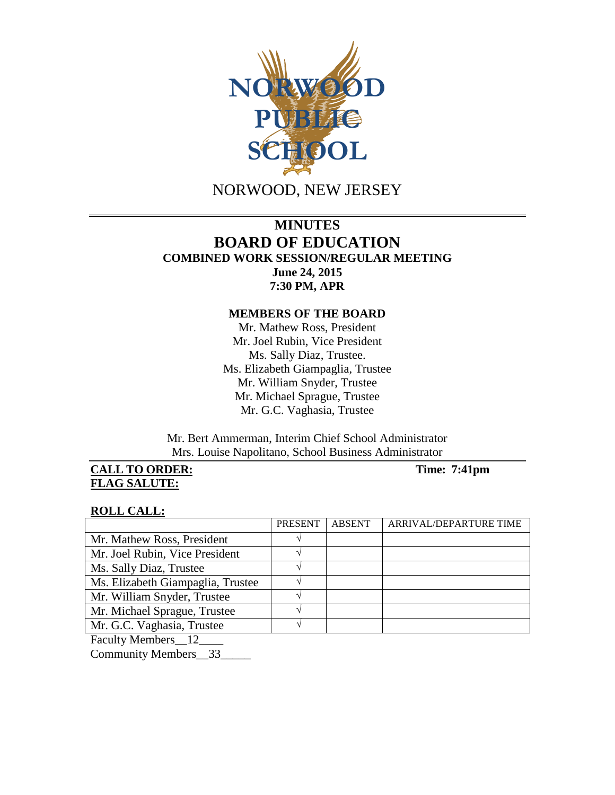

NORWOOD, NEW JERSEY

# **MINUTES BOARD OF EDUCATION COMBINED WORK SESSION/REGULAR MEETING June 24, 2015 7:30 PM, APR**

## **MEMBERS OF THE BOARD**

Mr. Mathew Ross, President Mr. Joel Rubin, Vice President Ms. Sally Diaz, Trustee. Ms. Elizabeth Giampaglia, Trustee Mr. William Snyder, Trustee Mr. Michael Sprague, Trustee Mr. G.C. Vaghasia, Trustee

Mr. Bert Ammerman, Interim Chief School Administrator Mrs. Louise Napolitano, School Business Administrator

**CALL TO ORDER:** Time: 7:41pm **FLAG SALUTE:** 

### **ROLL CALL:**

|                                   | PRESENT | <b>ABSENT</b> | ARRIVAL/DEPARTURE TIME |
|-----------------------------------|---------|---------------|------------------------|
| Mr. Mathew Ross, President        |         |               |                        |
| Mr. Joel Rubin, Vice President    |         |               |                        |
| Ms. Sally Diaz, Trustee           |         |               |                        |
| Ms. Elizabeth Giampaglia, Trustee |         |               |                        |
| Mr. William Snyder, Trustee       |         |               |                        |
| Mr. Michael Sprague, Trustee      |         |               |                        |
| Mr. G.C. Vaghasia, Trustee        |         |               |                        |
|                                   |         |               |                        |

Faculty Members\_\_12\_\_\_\_

Community Members\_\_33\_\_\_\_\_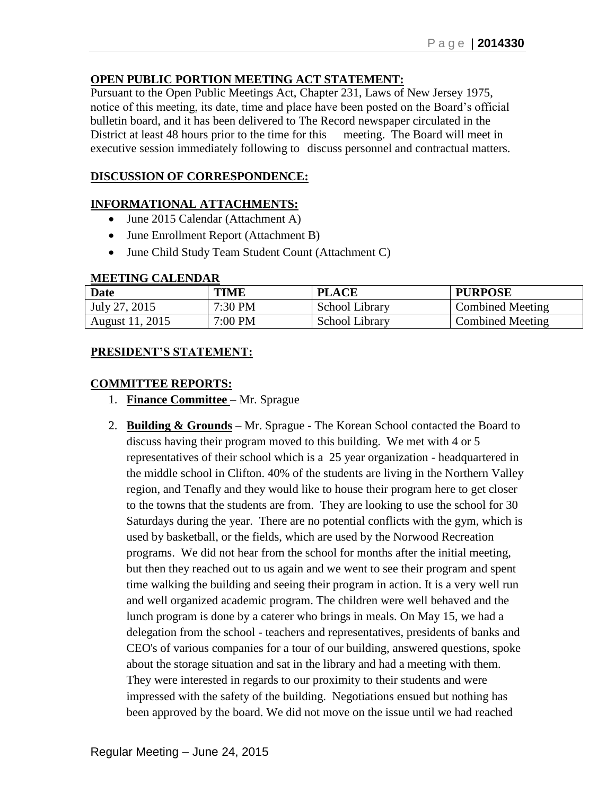# **OPEN PUBLIC PORTION MEETING ACT STATEMENT:**

Pursuant to the Open Public Meetings Act, Chapter 231, Laws of New Jersey 1975, notice of this meeting, its date, time and place have been posted on the Board's official bulletin board, and it has been delivered to The Record newspaper circulated in the District at least 48 hours prior to the time for this meeting. The Board will meet in executive session immediately following to discuss personnel and contractual matters.

## **DISCUSSION OF CORRESPONDENCE:**

## **INFORMATIONAL ATTACHMENTS:**

- June 2015 Calendar (Attachment A)
- June Enrollment Report (Attachment B)
- June Child Study Team Student Count (Attachment C)

#### **MEETING CALENDAR**

| Date            | TIME    | <b>PLACE</b>   | <b>PURPOSE</b>          |
|-----------------|---------|----------------|-------------------------|
| July 27, 2015   | 7:30 PM | School Library | <b>Combined Meeting</b> |
| August 11, 2015 | 7:00 PM | School Library | <b>Combined Meeting</b> |

## **PRESIDENT'S STATEMENT:**

### **COMMITTEE REPORTS:**

- 1. **Finance Committee** Mr. Sprague
- 2. **Building & Grounds** Mr. Sprague The Korean School contacted the Board to discuss having their program moved to this building. We met with 4 or 5 representatives of their school which is a 25 year organization - headquartered in the middle school in Clifton. 40% of the students are living in the Northern Valley region, and Tenafly and they would like to house their program here to get closer to the towns that the students are from. They are looking to use the school for 30 Saturdays during the year. There are no potential conflicts with the gym, which is used by basketball, or the fields, which are used by the Norwood Recreation programs. We did not hear from the school for months after the initial meeting, but then they reached out to us again and we went to see their program and spent time walking the building and seeing their program in action. It is a very well run and well organized academic program. The children were well behaved and the lunch program is done by a caterer who brings in meals. On May 15, we had a delegation from the school - teachers and representatives, presidents of banks and CEO's of various companies for a tour of our building, answered questions, spoke about the storage situation and sat in the library and had a meeting with them. They were interested in regards to our proximity to their students and were impressed with the safety of the building. Negotiations ensued but nothing has been approved by the board. We did not move on the issue until we had reached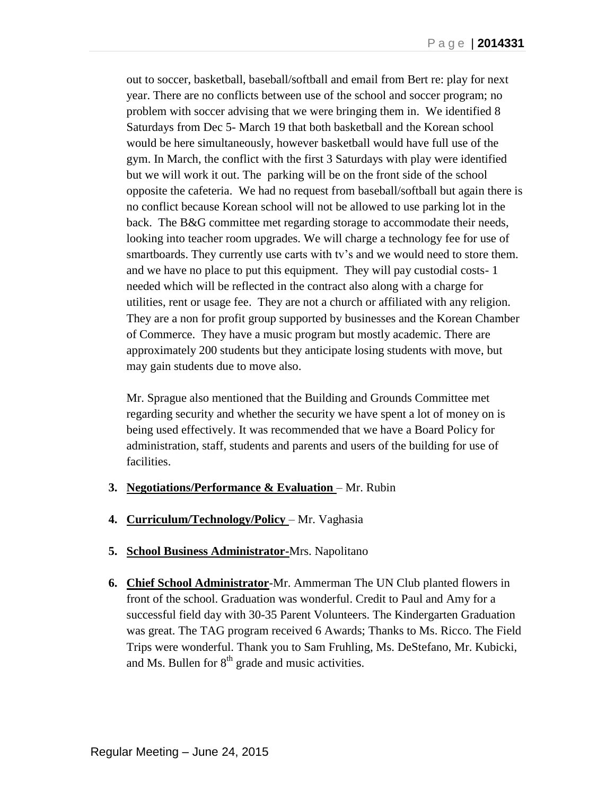out to soccer, basketball, baseball/softball and email from Bert re: play for next year. There are no conflicts between use of the school and soccer program; no problem with soccer advising that we were bringing them in. We identified 8 Saturdays from Dec 5- March 19 that both basketball and the Korean school would be here simultaneously, however basketball would have full use of the gym. In March, the conflict with the first 3 Saturdays with play were identified but we will work it out. The parking will be on the front side of the school opposite the cafeteria. We had no request from baseball/softball but again there is no conflict because Korean school will not be allowed to use parking lot in the back. The B&G committee met regarding storage to accommodate their needs, looking into teacher room upgrades. We will charge a technology fee for use of smartboards. They currently use carts with tv's and we would need to store them. and we have no place to put this equipment. They will pay custodial costs- 1 needed which will be reflected in the contract also along with a charge for utilities, rent or usage fee. They are not a church or affiliated with any religion. They are a non for profit group supported by businesses and the Korean Chamber of Commerce. They have a music program but mostly academic. There are approximately 200 students but they anticipate losing students with move, but may gain students due to move also.

Mr. Sprague also mentioned that the Building and Grounds Committee met regarding security and whether the security we have spent a lot of money on is being used effectively. It was recommended that we have a Board Policy for administration, staff, students and parents and users of the building for use of facilities.

- **3. Negotiations/Performance & Evaluation** Mr. Rubin
- **4. Curriculum/Technology/Policy** Mr. Vaghasia
- **5. School Business Administrator-**Mrs. Napolitano
- **6. Chief School Administrator**-Mr. Ammerman The UN Club planted flowers in front of the school. Graduation was wonderful. Credit to Paul and Amy for a successful field day with 30-35 Parent Volunteers. The Kindergarten Graduation was great. The TAG program received 6 Awards; Thanks to Ms. Ricco. The Field Trips were wonderful. Thank you to Sam Fruhling, Ms. DeStefano, Mr. Kubicki, and Ms. Bullen for  $8<sup>th</sup>$  grade and music activities.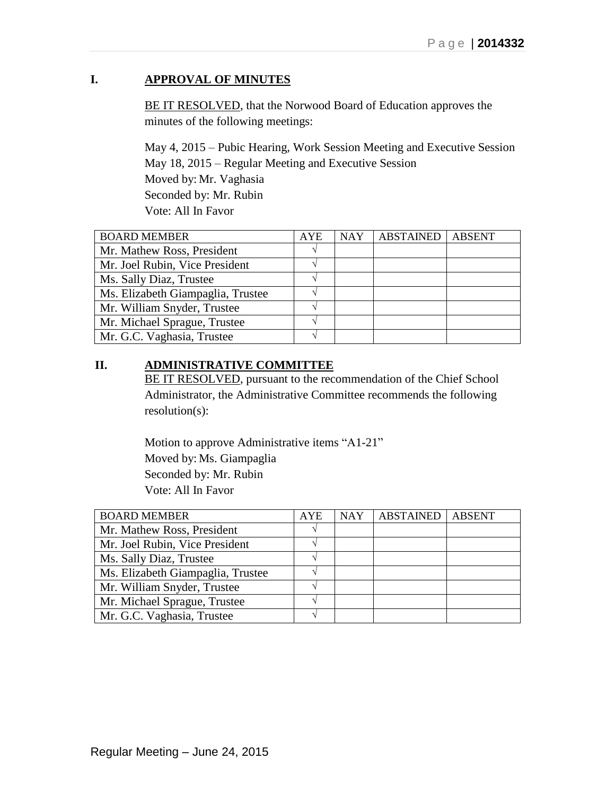# **I. APPROVAL OF MINUTES**

BE IT RESOLVED, that the Norwood Board of Education approves the minutes of the following meetings:

May 4, 2015 – Pubic Hearing, Work Session Meeting and Executive Session May 18, 2015 – Regular Meeting and Executive Session Moved by: Mr. Vaghasia Seconded by: Mr. Rubin Vote: All In Favor

| <b>BOARD MEMBER</b>               | <b>AYE</b> | <b>NAY</b> | <b>ABSTAINED</b> | <b>ABSENT</b> |
|-----------------------------------|------------|------------|------------------|---------------|
| Mr. Mathew Ross, President        |            |            |                  |               |
| Mr. Joel Rubin, Vice President    |            |            |                  |               |
| Ms. Sally Diaz, Trustee           |            |            |                  |               |
| Ms. Elizabeth Giampaglia, Trustee |            |            |                  |               |
| Mr. William Snyder, Trustee       |            |            |                  |               |
| Mr. Michael Sprague, Trustee      |            |            |                  |               |
| Mr. G.C. Vaghasia, Trustee        |            |            |                  |               |

# **II. ADMINISTRATIVE COMMITTEE**

BE IT RESOLVED, pursuant to the recommendation of the Chief School Administrator, the Administrative Committee recommends the following resolution(s):

Motion to approve Administrative items "A1-21" Moved by: Ms. Giampaglia Seconded by: Mr. Rubin Vote: All In Favor

| <b>BOARD MEMBER</b>               | <b>AYE</b> | <b>NAY</b> | <b>ABSTAINED</b> | <b>ABSENT</b> |
|-----------------------------------|------------|------------|------------------|---------------|
| Mr. Mathew Ross, President        |            |            |                  |               |
| Mr. Joel Rubin, Vice President    |            |            |                  |               |
| Ms. Sally Diaz, Trustee           |            |            |                  |               |
| Ms. Elizabeth Giampaglia, Trustee |            |            |                  |               |
| Mr. William Snyder, Trustee       |            |            |                  |               |
| Mr. Michael Sprague, Trustee      |            |            |                  |               |
| Mr. G.C. Vaghasia, Trustee        |            |            |                  |               |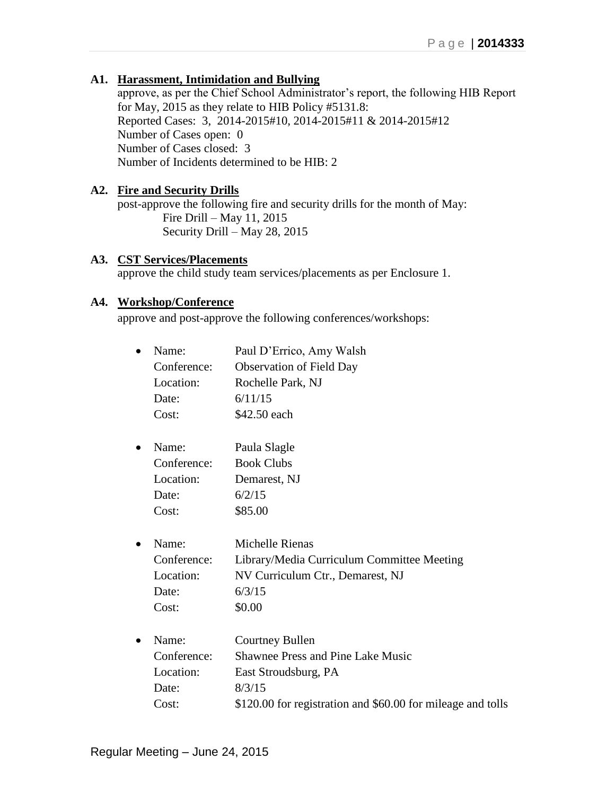# **A1. Harassment, Intimidation and Bullying**

approve, as per the Chief School Administrator's report, the following HIB Report for May, 2015 as they relate to HIB Policy #5131.8: Reported Cases: 3, 2014-2015#10, 2014-2015#11 & 2014-2015#12 Number of Cases open: 0 Number of Cases closed: 3 Number of Incidents determined to be HIB: 2

## **A2. Fire and Security Drills**

post-approve the following fire and security drills for the month of May: Fire Drill – May 11, 2015 Security Drill – May 28, 2015

## **A3. CST Services/Placements**

approve the child study team services/placements as per Enclosure 1.

## **A4. Workshop/Conference**

approve and post-approve the following conferences/workshops:

| Name:       | Paul D'Errico, Amy Walsh                                    |
|-------------|-------------------------------------------------------------|
| Conference: | <b>Observation of Field Day</b>                             |
| Location:   | Rochelle Park, NJ                                           |
| Date:       | 6/11/15                                                     |
| Cost:       | \$42.50 each                                                |
| Name:       | Paula Slagle                                                |
| Conference: | <b>Book Clubs</b>                                           |
| Location:   | Demarest, NJ                                                |
| Date:       | 6/2/15                                                      |
| Cost:       | \$85.00                                                     |
| Name:       | Michelle Rienas                                             |
| Conference: | Library/Media Curriculum Committee Meeting                  |
| Location:   | NV Curriculum Ctr., Demarest, NJ                            |
| Date:       | 6/3/15                                                      |
| Cost:       | \$0.00                                                      |
| Name:       | <b>Courtney Bullen</b>                                      |
| Conference: | <b>Shawnee Press and Pine Lake Music</b>                    |
| Location:   | East Stroudsburg, PA                                        |
| Date:       | 8/3/15                                                      |
| Cost:       | \$120.00 for registration and \$60.00 for mileage and tolls |
|             |                                                             |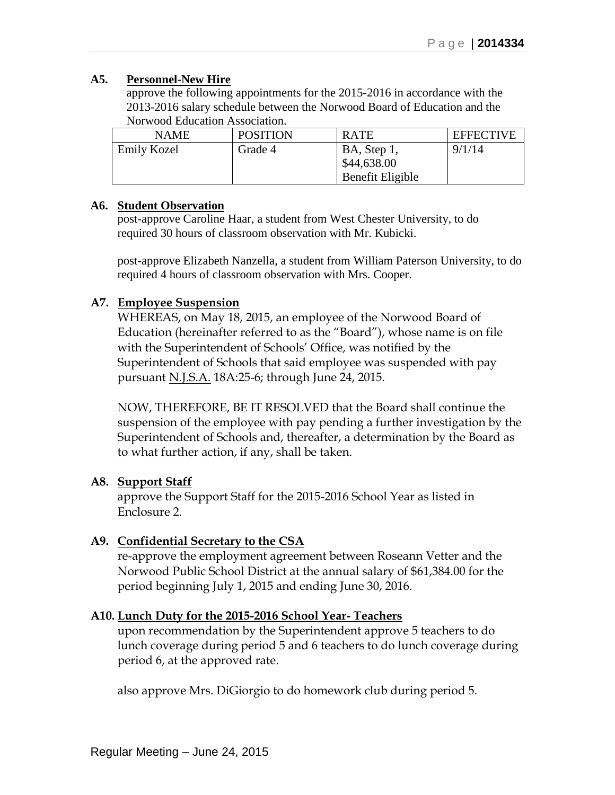## **A5. Personnel-New Hire**

approve the following appointments for the 2015-2016 in accordance with the 2013-2016 salary schedule between the Norwood Board of Education and the Norwood Education Association.

| <b>NAME</b>        | <b>POSITION</b> | <b>RATE</b>      | <b>EFFECTIVE</b> |
|--------------------|-----------------|------------------|------------------|
| <b>Emily Kozel</b> | Grade 4         | BA, Step 1,      | 9/1/14           |
|                    |                 | \$44,638.00      |                  |
|                    |                 | Benefit Eligible |                  |

## **A6. Student Observation**

post-approve Caroline Haar, a student from West Chester University, to do required 30 hours of classroom observation with Mr. Kubicki.

post-approve Elizabeth Nanzella, a student from William Paterson University, to do required 4 hours of classroom observation with Mrs. Cooper.

# **A7. Employee Suspension**

WHEREAS, on May 18, 2015, an employee of the Norwood Board of Education (hereinafter referred to as the "Board"), whose name is on file with the Superintendent of Schools' Office, was notified by the Superintendent of Schools that said employee was suspended with pay pursuant N.J.S.A. 18A:25-6; through June 24, 2015.

NOW, THEREFORE, BE IT RESOLVED that the Board shall continue the suspension of the employee with pay pending a further investigation by the Superintendent of Schools and, thereafter, a determination by the Board as to what further action, if any, shall be taken.

# **A8. Support Staff**

approve the Support Staff for the 2015-2016 School Year as listed in Enclosure 2.

# **A9. Confidential Secretary to the CSA**

re-approve the employment agreement between Roseann Vetter and the Norwood Public School District at the annual salary of \$61,384.00 for the period beginning July 1, 2015 and ending June 30, 2016.

# **A10. Lunch Duty for the 2015-2016 School Year- Teachers**

upon recommendation by the Superintendent approve 5 teachers to do lunch coverage during period 5 and 6 teachers to do lunch coverage during period 6, at the approved rate.

also approve Mrs. DiGiorgio to do homework club during period 5.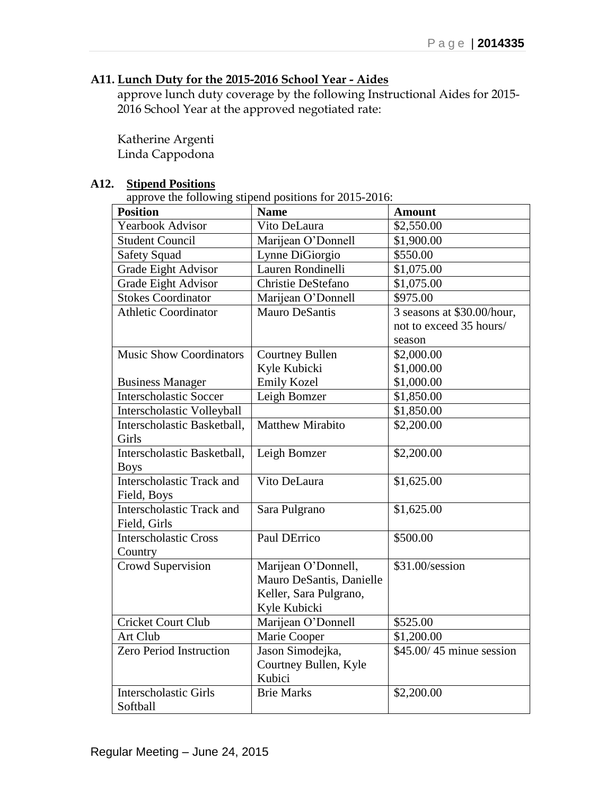# **A11. Lunch Duty for the 2015-2016 School Year - Aides**

approve lunch duty coverage by the following Instructional Aides for 2015- 2016 School Year at the approved negotiated rate:

Katherine Argenti Linda Cappodona

# **A12. Stipend Positions**

approve the following stipend positions for  $2015-2016$ :

| <b>Position</b>                  | $\mu$<br><b>Name</b>     | <b>Amount</b>              |
|----------------------------------|--------------------------|----------------------------|
| <b>Yearbook Advisor</b>          | Vito DeLaura             | \$2,550.00                 |
| <b>Student Council</b>           | Marijean O'Donnell       | \$1,900.00                 |
| <b>Safety Squad</b>              | Lynne DiGiorgio          | \$550.00                   |
| Grade Eight Advisor              | Lauren Rondinelli        | \$1,075.00                 |
| Grade Eight Advisor              | Christie DeStefano       | \$1,075.00                 |
| <b>Stokes Coordinator</b>        | Marijean O'Donnell       | \$975.00                   |
| <b>Athletic Coordinator</b>      | <b>Mauro DeSantis</b>    | 3 seasons at \$30.00/hour, |
|                                  |                          | not to exceed 35 hours/    |
|                                  |                          | season                     |
| <b>Music Show Coordinators</b>   | <b>Courtney Bullen</b>   | \$2,000.00                 |
|                                  | Kyle Kubicki             | \$1,000.00                 |
| <b>Business Manager</b>          | <b>Emily Kozel</b>       | \$1,000.00                 |
| <b>Interscholastic Soccer</b>    | Leigh Bomzer             | \$1,850.00                 |
| Interscholastic Volleyball       |                          | \$1,850.00                 |
| Interscholastic Basketball,      | <b>Matthew Mirabito</b>  | \$2,200.00                 |
| Girls                            |                          |                            |
| Interscholastic Basketball,      | Leigh Bomzer             | \$2,200.00                 |
| <b>Boys</b>                      |                          |                            |
| Interscholastic Track and        | Vito DeLaura             | \$1,625.00                 |
| Field, Boys                      |                          |                            |
| <b>Interscholastic Track and</b> | Sara Pulgrano            | \$1,625.00                 |
| Field, Girls                     |                          |                            |
| <b>Interscholastic Cross</b>     | Paul DErrico             | \$500.00                   |
| Country                          |                          |                            |
| Crowd Supervision                | Marijean O'Donnell,      | \$31.00/session            |
|                                  | Mauro DeSantis, Danielle |                            |
|                                  | Keller, Sara Pulgrano,   |                            |
|                                  | Kyle Kubicki             |                            |
| <b>Cricket Court Club</b>        | Marijean O'Donnell       | \$525.00                   |
| Art Club                         | Marie Cooper             | \$1,200.00                 |
| Zero Period Instruction          | Jason Simodejka,         | $$45.00/45$ minue session  |
|                                  | Courtney Bullen, Kyle    |                            |
|                                  | Kubici                   |                            |
| <b>Interscholastic Girls</b>     | <b>Brie Marks</b>        | \$2,200.00                 |
| Softball                         |                          |                            |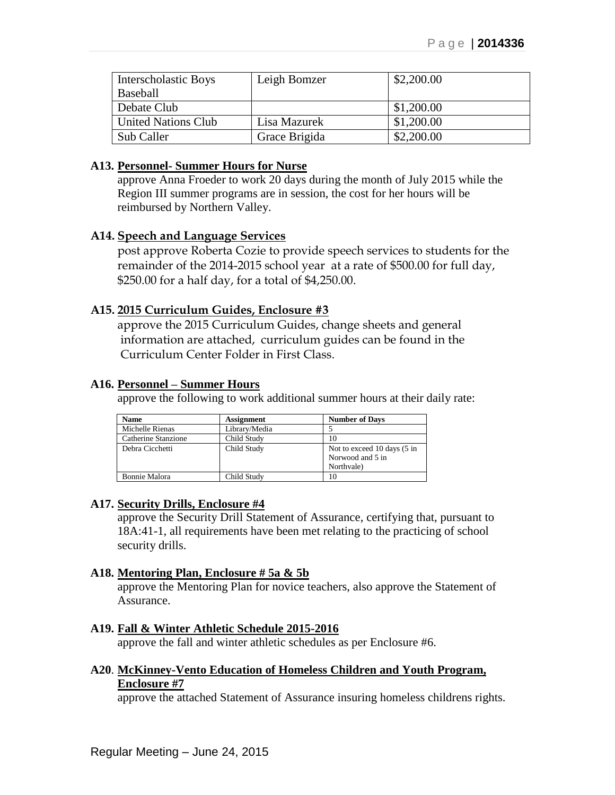| Interscholastic Boys       | Leigh Bomzer  | \$2,200.00 |
|----------------------------|---------------|------------|
| Baseball                   |               |            |
| Debate Club                |               | \$1,200.00 |
| <b>United Nations Club</b> | Lisa Mazurek  | \$1,200.00 |
| Sub Caller                 | Grace Brigida | \$2,200.00 |

### **A13. Personnel- Summer Hours for Nurse**

approve Anna Froeder to work 20 days during the month of July 2015 while the Region III summer programs are in session, the cost for her hours will be reimbursed by Northern Valley.

### **A14. Speech and Language Services**

post approve Roberta Cozie to provide speech services to students for the remainder of the 2014-2015 school year at a rate of \$500.00 for full day, \$250.00 for a half day, for a total of \$4,250.00.

### **A15. 2015 Curriculum Guides, Enclosure #3**

approve the 2015 Curriculum Guides, change sheets and general information are attached, curriculum guides can be found in the Curriculum Center Folder in First Class.

### **A16. Personnel – Summer Hours**

approve the following to work additional summer hours at their daily rate:

| <b>Name</b>          | <b>Assignment</b> | <b>Number of Days</b>                                         |
|----------------------|-------------------|---------------------------------------------------------------|
| Michelle Rienas      | Library/Media     |                                                               |
| Catherine Stanzione  | Child Study       | 10                                                            |
| Debra Cicchetti      | Child Study       | Not to exceed 10 days (5 in<br>Norwood and 5 in<br>Northvale) |
| <b>Bonnie Malora</b> | Child Study       | 10                                                            |

### **A17. Security Drills, Enclosure #4**

approve the Security Drill Statement of Assurance, certifying that, pursuant to 18A:41-1, all requirements have been met relating to the practicing of school security drills.

### **A18. Mentoring Plan, Enclosure # 5a & 5b**

approve the Mentoring Plan for novice teachers, also approve the Statement of Assurance.

### **A19. Fall & Winter Athletic Schedule 2015-2016**

approve the fall and winter athletic schedules as per Enclosure #6.

## **A20**. **McKinney-Vento Education of Homeless Children and Youth Program, Enclosure #7**

approve the attached Statement of Assurance insuring homeless childrens rights.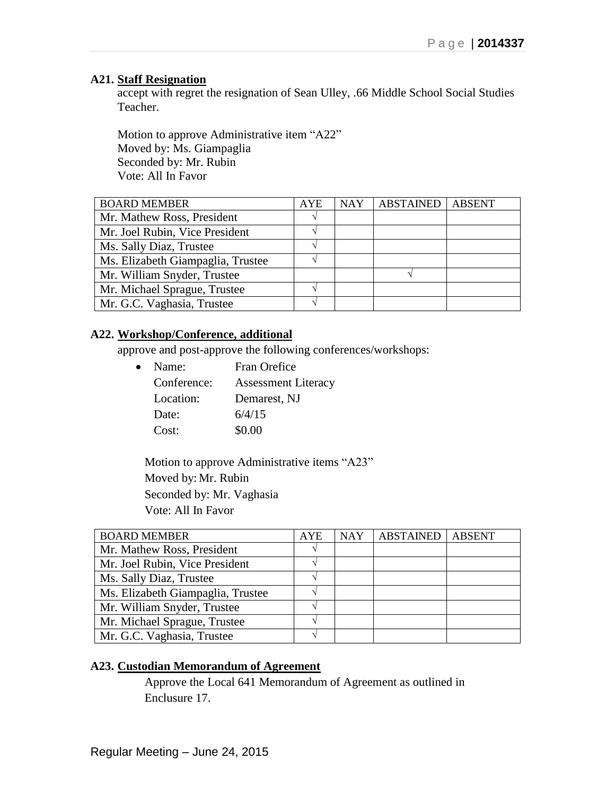### **A21. Staff Resignation**

accept with regret the resignation of Sean Ulley, .66 Middle School Social Studies Teacher.

Motion to approve Administrative item "A22" Moved by: Ms. Giampaglia Seconded by: Mr. Rubin Vote: All In Favor

| <b>BOARD MEMBER</b>               | AYE | <b>NAY</b> | <b>ABSTAINED</b> | <b>ABSENT</b> |
|-----------------------------------|-----|------------|------------------|---------------|
| Mr. Mathew Ross, President        |     |            |                  |               |
| Mr. Joel Rubin, Vice President    |     |            |                  |               |
| Ms. Sally Diaz, Trustee           |     |            |                  |               |
| Ms. Elizabeth Giampaglia, Trustee |     |            |                  |               |
| Mr. William Snyder, Trustee       |     |            |                  |               |
| Mr. Michael Sprague, Trustee      |     |            |                  |               |
| Mr. G.C. Vaghasia, Trustee        |     |            |                  |               |

## **A22. Workshop/Conference, additional**

approve and post-approve the following conferences/workshops:

| $\bullet$ | Name:       | Fran Orefice               |
|-----------|-------------|----------------------------|
|           | Conference: | <b>Assessment Literacy</b> |
|           | Location:   | Demarest, NJ               |
|           | Date:       | 6/4/15                     |
|           | Cost:       | \$0.00                     |

Motion to approve Administrative items "A23" Moved by: Mr. Rubin Seconded by: Mr. Vaghasia Vote: All In Favor

| <b>BOARD MEMBER</b>               | <b>AYE</b> | <b>NAY</b> | <b>ABSTAINED</b> | <b>ABSENT</b> |
|-----------------------------------|------------|------------|------------------|---------------|
| Mr. Mathew Ross, President        |            |            |                  |               |
| Mr. Joel Rubin, Vice President    |            |            |                  |               |
| Ms. Sally Diaz, Trustee           |            |            |                  |               |
| Ms. Elizabeth Giampaglia, Trustee |            |            |                  |               |
| Mr. William Snyder, Trustee       |            |            |                  |               |
| Mr. Michael Sprague, Trustee      |            |            |                  |               |
| Mr. G.C. Vaghasia, Trustee        |            |            |                  |               |

# **A23. Custodian Memorandum of Agreement**

Approve the Local 641 Memorandum of Agreement as outlined in Enclusure 17.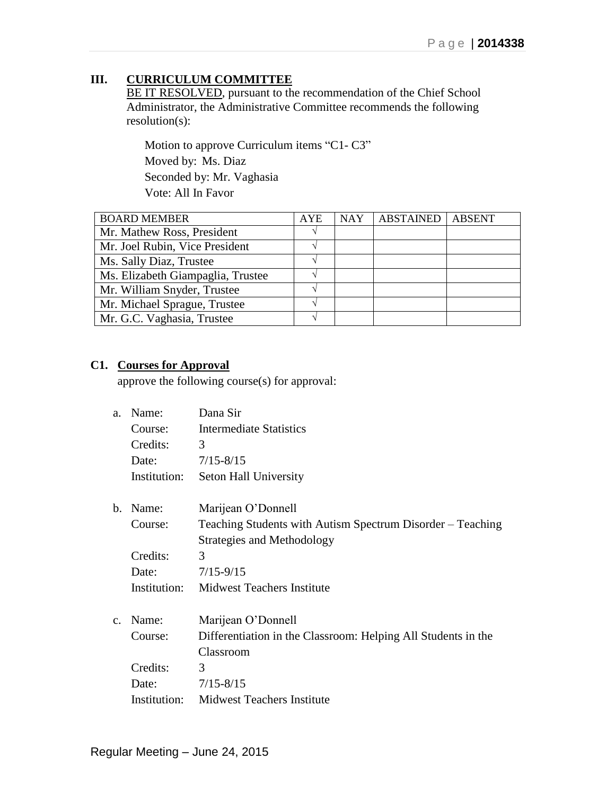# **III. CURRICULUM COMMITTEE**

BE IT RESOLVED, pursuant to the recommendation of the Chief School Administrator, the Administrative Committee recommends the following resolution(s):

Motion to approve Curriculum items "C1- C3" Moved by: Ms. Diaz Seconded by: Mr. Vaghasia Vote: All In Favor

| <b>BOARD MEMBER</b>               | <b>AYE</b> | <b>NAY</b> | <b>ABSTAINED</b> | <b>ABSENT</b> |
|-----------------------------------|------------|------------|------------------|---------------|
| Mr. Mathew Ross, President        |            |            |                  |               |
| Mr. Joel Rubin, Vice President    |            |            |                  |               |
| Ms. Sally Diaz, Trustee           |            |            |                  |               |
| Ms. Elizabeth Giampaglia, Trustee |            |            |                  |               |
| Mr. William Snyder, Trustee       |            |            |                  |               |
| Mr. Michael Sprague, Trustee      |            |            |                  |               |
| Mr. G.C. Vaghasia, Trustee        |            |            |                  |               |

# **C1. Courses for Approval**

approve the following course(s) for approval:

| a <sub>z</sub> | Name:        | Dana Sir                                                      |
|----------------|--------------|---------------------------------------------------------------|
|                | Course:      | Intermediate Statistics                                       |
|                | Credits:     | 3                                                             |
|                | Date:        | $7/15 - 8/15$                                                 |
|                | Institution: | Seton Hall University                                         |
| $h_{-}$        | Name:        | Marijean O'Donnell                                            |
|                | Course:      | Teaching Students with Autism Spectrum Disorder – Teaching    |
|                |              | Strategies and Methodology                                    |
|                | Credits:     | 3                                                             |
|                | Date:        | $7/15 - 9/15$                                                 |
|                | Institution: | <b>Midwest Teachers Institute</b>                             |
| $C_{-}$        | Name:        | Marijean O'Donnell                                            |
|                | Course:      | Differentiation in the Classroom: Helping All Students in the |
|                |              | Classroom                                                     |
|                | Credits:     | 3                                                             |
|                | Date:        | $7/15 - 8/15$                                                 |
|                |              | <b>Institution:</b> Midwest Teachers Institute                |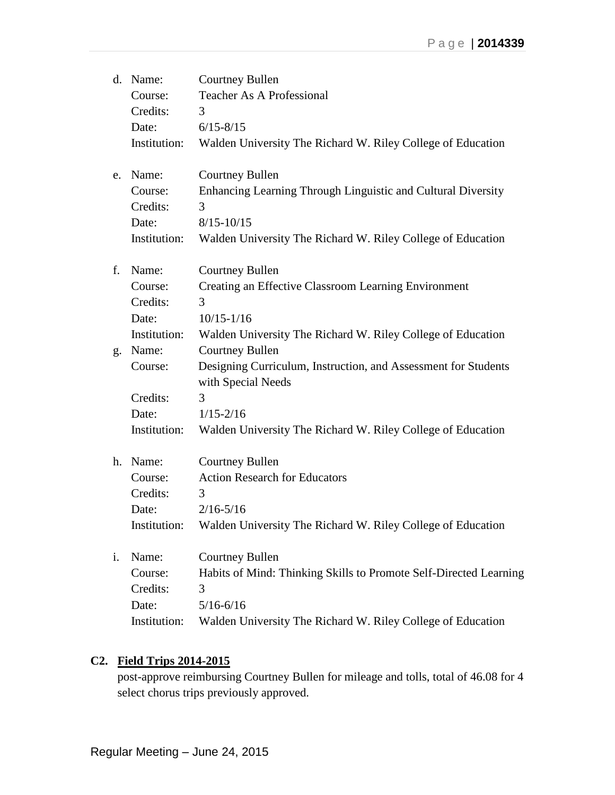|    | d. Name:     | <b>Courtney Bullen</b>                                                               |
|----|--------------|--------------------------------------------------------------------------------------|
|    | Course:      | <b>Teacher As A Professional</b>                                                     |
|    | Credits:     | 3                                                                                    |
|    | Date:        | $6/15 - 8/15$                                                                        |
|    | Institution: | Walden University The Richard W. Riley College of Education                          |
|    | e. Name:     | <b>Courtney Bullen</b>                                                               |
|    | Course:      | Enhancing Learning Through Linguistic and Cultural Diversity                         |
|    | Credits:     | 3                                                                                    |
|    | Date:        | $8/15 - 10/15$                                                                       |
|    | Institution: | Walden University The Richard W. Riley College of Education                          |
| f. | Name:        | <b>Courtney Bullen</b>                                                               |
|    | Course:      | Creating an Effective Classroom Learning Environment                                 |
|    | Credits:     | 3                                                                                    |
|    | Date:        | $10/15 - 1/16$                                                                       |
|    | Institution: | Walden University The Richard W. Riley College of Education                          |
|    | g. Name:     | <b>Courtney Bullen</b>                                                               |
|    | Course:      | Designing Curriculum, Instruction, and Assessment for Students<br>with Special Needs |
|    | Credits:     | 3                                                                                    |
|    | Date:        | $1/15 - 2/16$                                                                        |
|    | Institution: | Walden University The Richard W. Riley College of Education                          |
|    | h. Name:     | <b>Courtney Bullen</b>                                                               |
|    | Course:      | <b>Action Research for Educators</b>                                                 |
|    | Credits:     | 3                                                                                    |
|    | Date:        | $2/16 - 5/16$                                                                        |
|    | Institution: | Walden University The Richard W. Riley College of Education                          |
| i. | Name:        | <b>Courtney Bullen</b>                                                               |
|    | Course:      | Habits of Mind: Thinking Skills to Promote Self-Directed Learning                    |
|    | Credits:     | 3                                                                                    |
|    | Date:        | $5/16 - 6/16$                                                                        |
|    | Institution: | Walden University The Richard W. Riley College of Education                          |

# **C2. Field Trips 2014-2015**

post-approve reimbursing Courtney Bullen for mileage and tolls, total of 46.08 for 4 select chorus trips previously approved.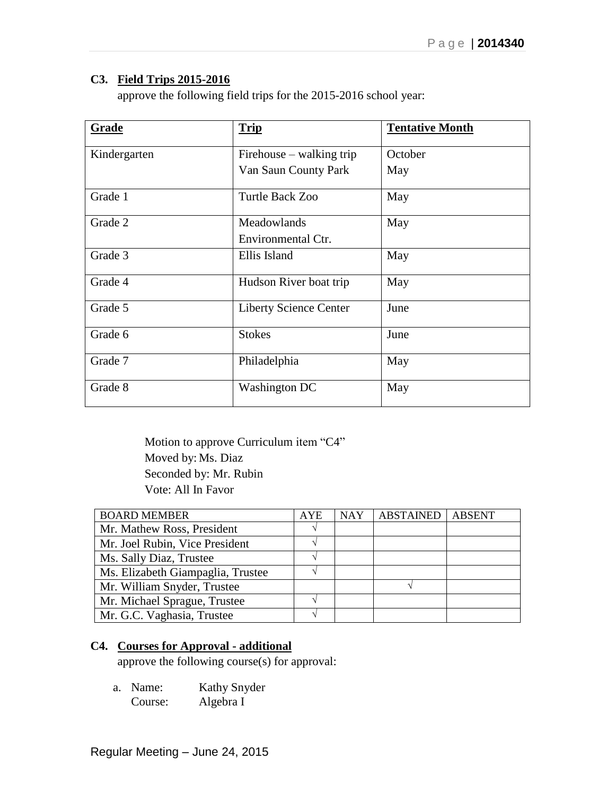# **C3. Field Trips 2015-2016**

approve the following field trips for the 2015-2016 school year:

| Grade        | <b>Trip</b>                   | <b>Tentative Month</b> |
|--------------|-------------------------------|------------------------|
| Kindergarten | Firehouse – walking trip      | October                |
|              | Van Saun County Park          | May                    |
| Grade 1      | Turtle Back Zoo               | May                    |
| Grade 2      | Meadowlands                   | May                    |
|              | Environmental Ctr.            |                        |
| Grade 3      | Ellis Island                  | May                    |
| Grade 4      | Hudson River boat trip        | May                    |
| Grade 5      | <b>Liberty Science Center</b> | June                   |
| Grade 6      | <b>Stokes</b>                 | June                   |
| Grade 7      | Philadelphia                  | May                    |
| Grade 8      | <b>Washington DC</b>          | May                    |

Motion to approve Curriculum item "C4" Moved by: Ms. Diaz Seconded by: Mr. Rubin Vote: All In Favor

| <b>BOARD MEMBER</b>               | <b>AYE</b> | <b>NAY</b> | <b>ABSTAINED</b> | <b>ABSENT</b> |
|-----------------------------------|------------|------------|------------------|---------------|
| Mr. Mathew Ross, President        |            |            |                  |               |
| Mr. Joel Rubin, Vice President    |            |            |                  |               |
| Ms. Sally Diaz, Trustee           |            |            |                  |               |
| Ms. Elizabeth Giampaglia, Trustee |            |            |                  |               |
| Mr. William Snyder, Trustee       |            |            |                  |               |
| Mr. Michael Sprague, Trustee      |            |            |                  |               |
| Mr. G.C. Vaghasia, Trustee        |            |            |                  |               |

# **C4. Courses for Approval - additional**

approve the following course(s) for approval:

a. Name: Kathy Snyder Course: Algebra I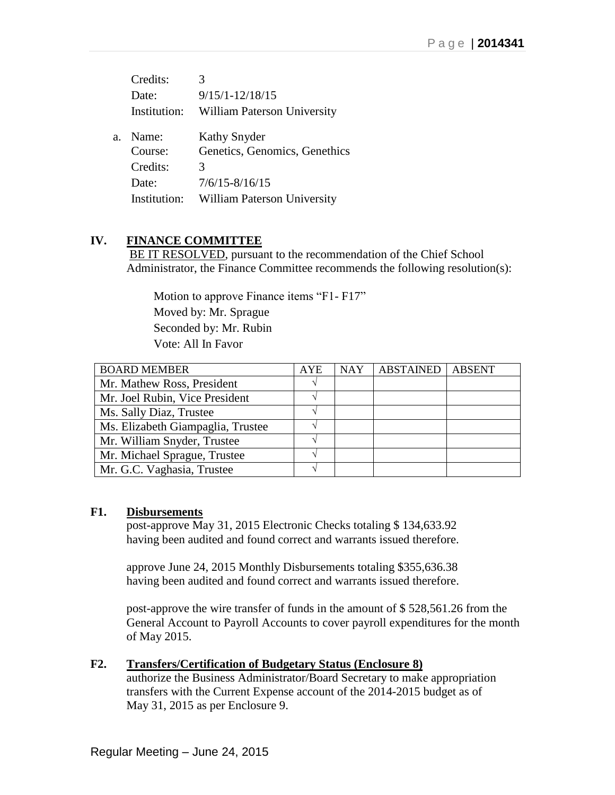|    | Credits:     |                                    |
|----|--------------|------------------------------------|
|    | Date:        | $9/15/1 - 12/18/15$                |
|    | Institution: | <b>William Paterson University</b> |
| a. | Name:        | <b>Kathy Snyder</b>                |
|    | Course:      | Genetics, Genomics, Genethics      |
|    | Credits:     | 3                                  |
|    | Date:        | $7/6/15 - 8/16/15$                 |
|    | Institution: | <b>William Paterson University</b> |

# **IV. FINANCE COMMITTEE**

BE IT RESOLVED, pursuant to the recommendation of the Chief School Administrator, the Finance Committee recommends the following resolution(s):

 Motion to approve Finance items "F1- F17" Moved by: Mr. Sprague Seconded by: Mr. Rubin Vote: All In Favor

| <b>BOARD MEMBER</b>               | <b>AYE</b> | <b>NAY</b> | <b>ABSTAINED</b> | <b>ABSENT</b> |
|-----------------------------------|------------|------------|------------------|---------------|
| Mr. Mathew Ross, President        |            |            |                  |               |
| Mr. Joel Rubin, Vice President    |            |            |                  |               |
| Ms. Sally Diaz, Trustee           |            |            |                  |               |
| Ms. Elizabeth Giampaglia, Trustee |            |            |                  |               |
| Mr. William Snyder, Trustee       |            |            |                  |               |
| Mr. Michael Sprague, Trustee      |            |            |                  |               |
| Mr. G.C. Vaghasia, Trustee        |            |            |                  |               |

# **F1. Disbursements**

post-approve May 31, 2015 Electronic Checks totaling \$ 134,633.92 having been audited and found correct and warrants issued therefore.

approve June 24, 2015 Monthly Disbursements totaling \$355,636.38 having been audited and found correct and warrants issued therefore.

post-approve the wire transfer of funds in the amount of \$ 528,561.26 from the General Account to Payroll Accounts to cover payroll expenditures for the month of May 2015.

# **F2. Transfers/Certification of Budgetary Status (Enclosure 8)**

authorize the Business Administrator/Board Secretary to make appropriation transfers with the Current Expense account of the 2014-2015 budget as of May 31, 2015 as per Enclosure 9.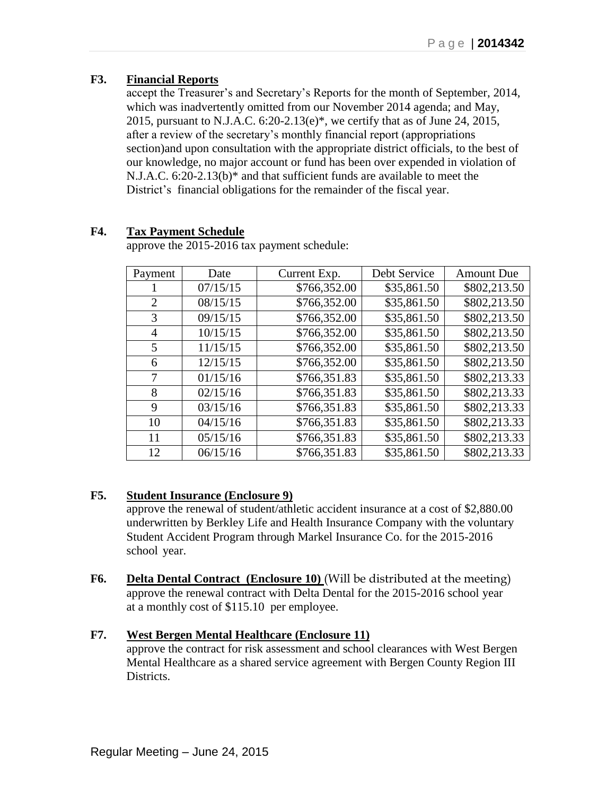# **F3. Financial Reports**

accept the Treasurer's and Secretary's Reports for the month of September, 2014, which was inadvertently omitted from our November 2014 agenda; and May, 2015, pursuant to N.J.A.C. 6:20-2.13(e)\*, we certify that as of June 24, 2015, after a review of the secretary's monthly financial report (appropriations section)and upon consultation with the appropriate district officials, to the best of our knowledge, no major account or fund has been over expended in violation of N.J.A.C. 6:20-2.13(b)\* and that sufficient funds are available to meet the District's financial obligations for the remainder of the fiscal year.

# **F4. Tax Payment Schedule**

approve the 2015-2016 tax payment schedule:

| Payment        | Date     | Current Exp. | Debt Service | <b>Amount Due</b> |
|----------------|----------|--------------|--------------|-------------------|
|                | 07/15/15 | \$766,352.00 | \$35,861.50  | \$802,213.50      |
| $\overline{2}$ | 08/15/15 | \$766,352.00 | \$35,861.50  | \$802,213.50      |
| 3              | 09/15/15 | \$766,352.00 | \$35,861.50  | \$802,213.50      |
| 4              | 10/15/15 | \$766,352.00 | \$35,861.50  | \$802,213.50      |
| 5              | 11/15/15 | \$766,352.00 | \$35,861.50  | \$802,213.50      |
| 6              | 12/15/15 | \$766,352.00 | \$35,861.50  | \$802,213.50      |
| 7              | 01/15/16 | \$766,351.83 | \$35,861.50  | \$802,213.33      |
| 8              | 02/15/16 | \$766,351.83 | \$35,861.50  | \$802,213.33      |
| 9              | 03/15/16 | \$766,351.83 | \$35,861.50  | \$802,213.33      |
| 10             | 04/15/16 | \$766,351.83 | \$35,861.50  | \$802,213.33      |
| 11             | 05/15/16 | \$766,351.83 | \$35,861.50  | \$802,213.33      |
| 12             | 06/15/16 | \$766,351.83 | \$35,861.50  | \$802,213.33      |

# **F5. Student Insurance (Enclosure 9)**

approve the renewal of student/athletic accident insurance at a cost of \$2,880.00 underwritten by Berkley Life and Health Insurance Company with the voluntary Student Accident Program through Markel Insurance Co. for the 2015-2016 school year.

**F6. Delta Dental Contract (Enclosure 10)** (Will be distributed at the meeting) approve the renewal contract with Delta Dental for the 2015-2016 school year at a monthly cost of \$115.10 per employee.

## **F7. West Bergen Mental Healthcare (Enclosure 11)**

approve the contract for risk assessment and school clearances with West Bergen Mental Healthcare as a shared service agreement with Bergen County Region III Districts.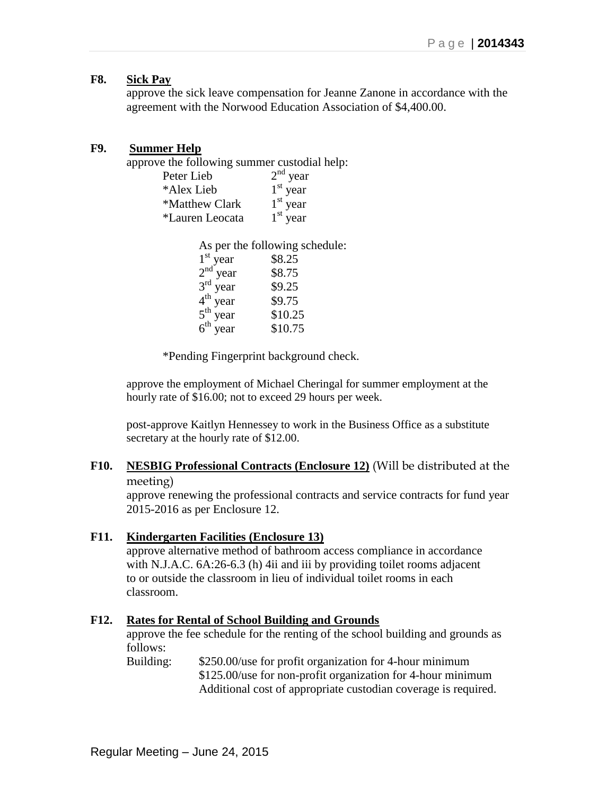## **F8. Sick Pay**

approve the sick leave compensation for Jeanne Zanone in accordance with the agreement with the Norwood Education Association of \$4,400.00.

## **F9. Summer Help**

approve the following summer custodial help:

| Peter Lieb      | $2nd$ year |
|-----------------|------------|
| *Alex Lieb      | $1st$ year |
| *Matthew Clark  | $1st$ year |
| *Lauren Leocata | $1st$ year |

As per the following schedule:  $1<sup>st</sup>$  year \$8.25  $2<sup>nd</sup>$  year \$8.75  $3<sup>rd</sup>$  year \$9.25  $4^{\text{th}}$  $$9.75$  $5^{\text{th}}$  $$10.25$  $6^{\text{th}}$ \$10.75

\*Pending Fingerprint background check.

approve the employment of Michael Cheringal for summer employment at the hourly rate of \$16.00; not to exceed 29 hours per week.

post-approve Kaitlyn Hennessey to work in the Business Office as a substitute secretary at the hourly rate of \$12.00.

## **F10. NESBIG Professional Contracts (Enclosure 12)** (Will be distributed at the meeting)

approve renewing the professional contracts and service contracts for fund year 2015-2016 as per Enclosure 12.

## **F11. Kindergarten Facilities (Enclosure 13)**

approve alternative method of bathroom access compliance in accordance with N.J.A.C. 6A:26-6.3 (h) 4ii and iii by providing toilet rooms adjacent to or outside the classroom in lieu of individual toilet rooms in each classroom.

## **F12. Rates for Rental of School Building and Grounds**

approve the fee schedule for the renting of the school building and grounds as follows:

Building: \$250.00/use for profit organization for 4-hour minimum \$125.00/use for non-profit organization for 4-hour minimum Additional cost of appropriate custodian coverage is required.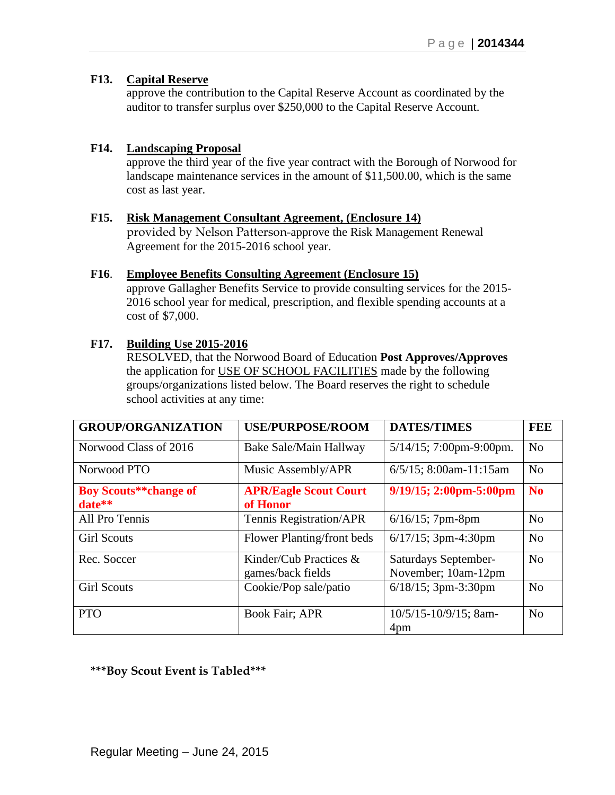## **F13. Capital Reserve**

approve the contribution to the Capital Reserve Account as coordinated by the auditor to transfer surplus over \$250,000 to the Capital Reserve Account.

## **F14. Landscaping Proposal**

approve the third year of the five year contract with the Borough of Norwood for landscape maintenance services in the amount of \$11,500.00, which is the same cost as last year.

## **F15. Risk Management Consultant Agreement, (Enclosure 14)**

provided by Nelson Patterson-approve the Risk Management Renewal Agreement for the 2015-2016 school year.

### **F16**. **Employee Benefits Consulting Agreement (Enclosure 15)**

approve Gallagher Benefits Service to provide consulting services for the 2015- 2016 school year for medical, prescription, and flexible spending accounts at a cost of \$7,000.

## **F17. Building Use 2015-2016**

RESOLVED, that the Norwood Board of Education **Post Approves/Approves** the application for USE OF SCHOOL FACILITIES made by the following groups/organizations listed below. The Board reserves the right to schedule school activities at any time:

| <b>GROUP/ORGANIZATION</b>              | <b>USE/PURPOSE/ROOM</b>                     | <b>DATES/TIMES</b>                          | FEE            |
|----------------------------------------|---------------------------------------------|---------------------------------------------|----------------|
| Norwood Class of 2016                  | Bake Sale/Main Hallway                      | $5/14/15$ ; 7:00pm-9:00pm.                  | N <sub>o</sub> |
| Norwood PTO                            | Music Assembly/APR                          | $6/5/15$ ; 8:00am-11:15am                   | N <sub>o</sub> |
| <b>Boy Scouts**change of</b><br>date** | <b>APR/Eagle Scout Court</b><br>of Honor    | $9/19/15$ ; 2:00pm-5:00pm                   | <b>No</b>      |
| All Pro Tennis                         | <b>Tennis Registration/APR</b>              | $6/16/15$ ; 7pm-8pm                         | N <sub>0</sub> |
| <b>Girl Scouts</b>                     | Flower Planting/front beds                  | $6/17/15$ ; 3pm-4:30pm                      | N <sub>o</sub> |
| Rec. Soccer                            | Kinder/Cub Practices &<br>games/back fields | Saturdays September-<br>November; 10am-12pm | N <sub>0</sub> |
| <b>Girl Scouts</b>                     | Cookie/Pop sale/patio                       | $6/18/15$ ; 3pm-3:30pm                      | N <sub>0</sub> |
| <b>PTO</b>                             | <b>Book Fair; APR</b>                       | 10/5/15-10/9/15; 8am-<br>4pm                | N <sub>o</sub> |

**\*\*\*Boy Scout Event is Tabled\*\*\***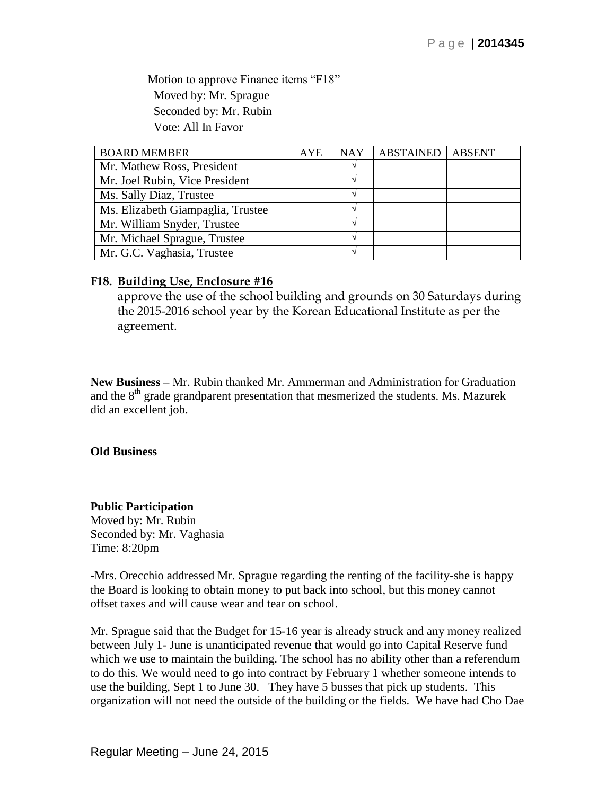Motion to approve Finance items "F18" Moved by: Mr. Sprague Seconded by: Mr. Rubin Vote: All In Favor

| <b>BOARD MEMBER</b>               | <b>AYE</b> | <b>NAY</b> | ABSTAINED | <b>ABSENT</b> |
|-----------------------------------|------------|------------|-----------|---------------|
| Mr. Mathew Ross, President        |            |            |           |               |
| Mr. Joel Rubin, Vice President    |            |            |           |               |
| Ms. Sally Diaz, Trustee           |            |            |           |               |
| Ms. Elizabeth Giampaglia, Trustee |            |            |           |               |
| Mr. William Snyder, Trustee       |            |            |           |               |
| Mr. Michael Sprague, Trustee      |            |            |           |               |
| Mr. G.C. Vaghasia, Trustee        |            |            |           |               |

## **F18. Building Use, Enclosure #16**

approve the use of the school building and grounds on 30 Saturdays during the 2015-2016 school year by the Korean Educational Institute as per the agreement.

**New Business –** Mr. Rubin thanked Mr. Ammerman and Administration for Graduation and the 8<sup>th</sup> grade grandparent presentation that mesmerized the students. Ms. Mazurek did an excellent job.

### **Old Business**

### **Public Participation**

Moved by: Mr. Rubin Seconded by: Mr. Vaghasia Time: 8:20pm

-Mrs. Orecchio addressed Mr. Sprague regarding the renting of the facility-she is happy the Board is looking to obtain money to put back into school, but this money cannot offset taxes and will cause wear and tear on school.

Mr. Sprague said that the Budget for 15-16 year is already struck and any money realized between July 1- June is unanticipated revenue that would go into Capital Reserve fund which we use to maintain the building. The school has no ability other than a referendum to do this. We would need to go into contract by February 1 whether someone intends to use the building, Sept 1 to June 30. They have 5 busses that pick up students. This organization will not need the outside of the building or the fields. We have had Cho Dae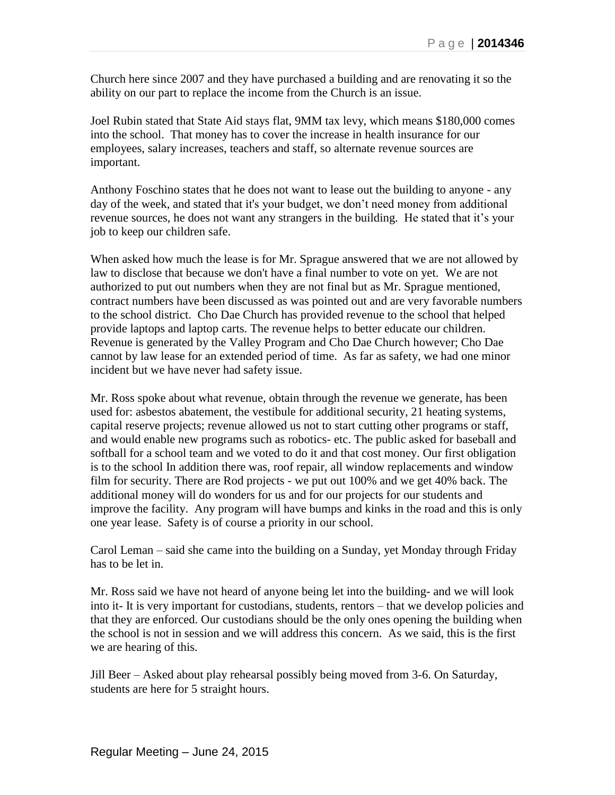Church here since 2007 and they have purchased a building and are renovating it so the ability on our part to replace the income from the Church is an issue.

Joel Rubin stated that State Aid stays flat, 9MM tax levy, which means \$180,000 comes into the school. That money has to cover the increase in health insurance for our employees, salary increases, teachers and staff, so alternate revenue sources are important.

Anthony Foschino states that he does not want to lease out the building to anyone - any day of the week, and stated that it's your budget, we don't need money from additional revenue sources, he does not want any strangers in the building. He stated that it's your job to keep our children safe.

When asked how much the lease is for Mr. Sprague answered that we are not allowed by law to disclose that because we don't have a final number to vote on yet. We are not authorized to put out numbers when they are not final but as Mr. Sprague mentioned, contract numbers have been discussed as was pointed out and are very favorable numbers to the school district. Cho Dae Church has provided revenue to the school that helped provide laptops and laptop carts. The revenue helps to better educate our children. Revenue is generated by the Valley Program and Cho Dae Church however; Cho Dae cannot by law lease for an extended period of time. As far as safety, we had one minor incident but we have never had safety issue.

Mr. Ross spoke about what revenue, obtain through the revenue we generate, has been used for: asbestos abatement, the vestibule for additional security, 21 heating systems, capital reserve projects; revenue allowed us not to start cutting other programs or staff, and would enable new programs such as robotics- etc. The public asked for baseball and softball for a school team and we voted to do it and that cost money. Our first obligation is to the school In addition there was, roof repair, all window replacements and window film for security. There are Rod projects - we put out 100% and we get 40% back. The additional money will do wonders for us and for our projects for our students and improve the facility. Any program will have bumps and kinks in the road and this is only one year lease. Safety is of course a priority in our school.

Carol Leman – said she came into the building on a Sunday, yet Monday through Friday has to be let in.

Mr. Ross said we have not heard of anyone being let into the building- and we will look into it- It is very important for custodians, students, rentors – that we develop policies and that they are enforced. Our custodians should be the only ones opening the building when the school is not in session and we will address this concern. As we said, this is the first we are hearing of this.

Jill Beer – Asked about play rehearsal possibly being moved from 3-6. On Saturday, students are here for 5 straight hours.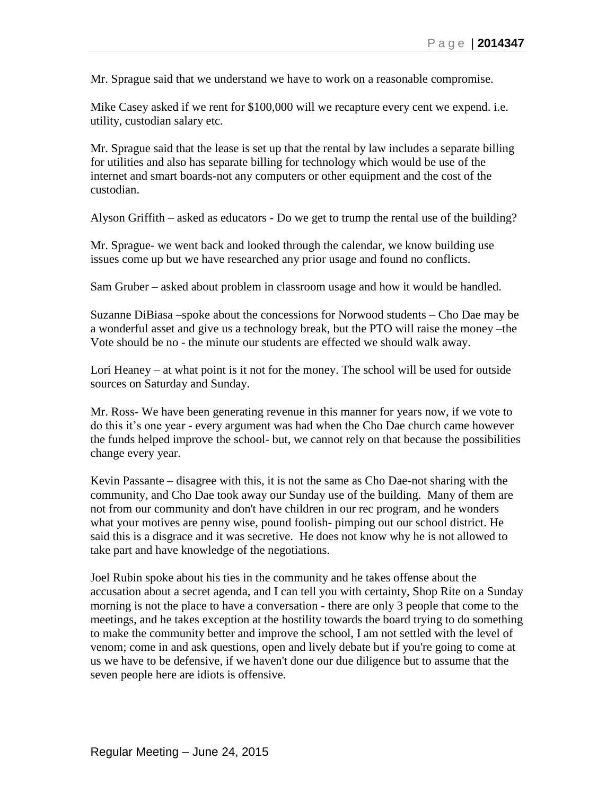Mr. Sprague said that we understand we have to work on a reasonable compromise.

Mike Casey asked if we rent for \$100,000 will we recapture every cent we expend. i.e. utility, custodian salary etc.

Mr. Sprague said that the lease is set up that the rental by law includes a separate billing for utilities and also has separate billing for technology which would be use of the internet and smart boards-not any computers or other equipment and the cost of the custodian.

Alyson Griffith – asked as educators - Do we get to trump the rental use of the building?

Mr. Sprague- we went back and looked through the calendar, we know building use issues come up but we have researched any prior usage and found no conflicts.

Sam Gruber – asked about problem in classroom usage and how it would be handled.

Suzanne DiBiasa –spoke about the concessions for Norwood students – Cho Dae may be a wonderful asset and give us a technology break, but the PTO will raise the money –the Vote should be no - the minute our students are effected we should walk away.

Lori Heaney – at what point is it not for the money. The school will be used for outside sources on Saturday and Sunday.

Mr. Ross- We have been generating revenue in this manner for years now, if we vote to do this it's one year - every argument was had when the Cho Dae church came however the funds helped improve the school- but, we cannot rely on that because the possibilities change every year.

Kevin Passante – disagree with this, it is not the same as Cho Dae-not sharing with the community, and Cho Dae took away our Sunday use of the building. Many of them are not from our community and don't have children in our rec program, and he wonders what your motives are penny wise, pound foolish- pimping out our school district. He said this is a disgrace and it was secretive. He does not know why he is not allowed to take part and have knowledge of the negotiations.

Joel Rubin spoke about his ties in the community and he takes offense about the accusation about a secret agenda, and I can tell you with certainty, Shop Rite on a Sunday morning is not the place to have a conversation - there are only 3 people that come to the meetings, and he takes exception at the hostility towards the board trying to do something to make the community better and improve the school, I am not settled with the level of venom; come in and ask questions, open and lively debate but if you're going to come at us we have to be defensive, if we haven't done our due diligence but to assume that the seven people here are idiots is offensive.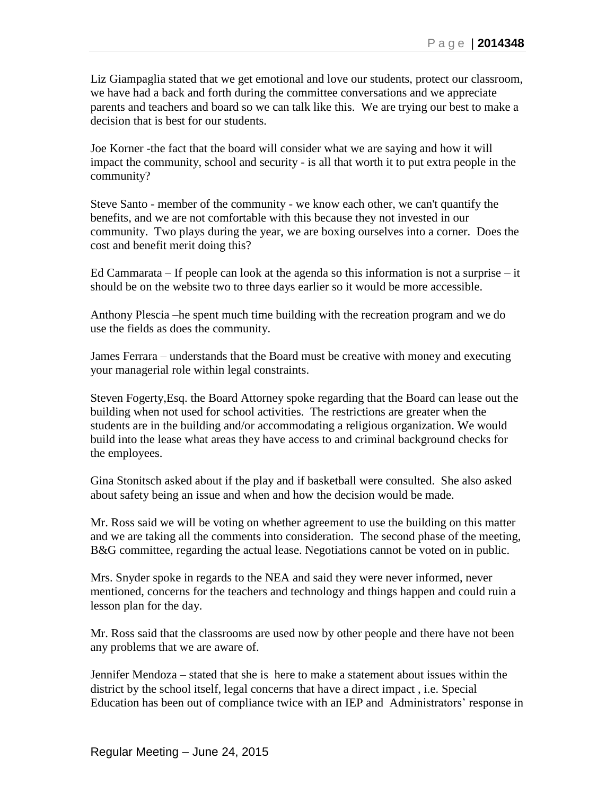Liz Giampaglia stated that we get emotional and love our students, protect our classroom, we have had a back and forth during the committee conversations and we appreciate parents and teachers and board so we can talk like this. We are trying our best to make a decision that is best for our students.

Joe Korner -the fact that the board will consider what we are saying and how it will impact the community, school and security - is all that worth it to put extra people in the community?

Steve Santo - member of the community - we know each other, we can't quantify the benefits, and we are not comfortable with this because they not invested in our community. Two plays during the year, we are boxing ourselves into a corner. Does the cost and benefit merit doing this?

Ed Cammarata – If people can look at the agenda so this information is not a surprise – it should be on the website two to three days earlier so it would be more accessible.

Anthony Plescia –he spent much time building with the recreation program and we do use the fields as does the community.

James Ferrara – understands that the Board must be creative with money and executing your managerial role within legal constraints.

Steven Fogerty,Esq. the Board Attorney spoke regarding that the Board can lease out the building when not used for school activities. The restrictions are greater when the students are in the building and/or accommodating a religious organization. We would build into the lease what areas they have access to and criminal background checks for the employees.

Gina Stonitsch asked about if the play and if basketball were consulted. She also asked about safety being an issue and when and how the decision would be made.

Mr. Ross said we will be voting on whether agreement to use the building on this matter and we are taking all the comments into consideration. The second phase of the meeting, B&G committee, regarding the actual lease. Negotiations cannot be voted on in public.

Mrs. Snyder spoke in regards to the NEA and said they were never informed, never mentioned, concerns for the teachers and technology and things happen and could ruin a lesson plan for the day.

Mr. Ross said that the classrooms are used now by other people and there have not been any problems that we are aware of.

Jennifer Mendoza – stated that she is here to make a statement about issues within the district by the school itself, legal concerns that have a direct impact , i.e. Special Education has been out of compliance twice with an IEP and Administrators' response in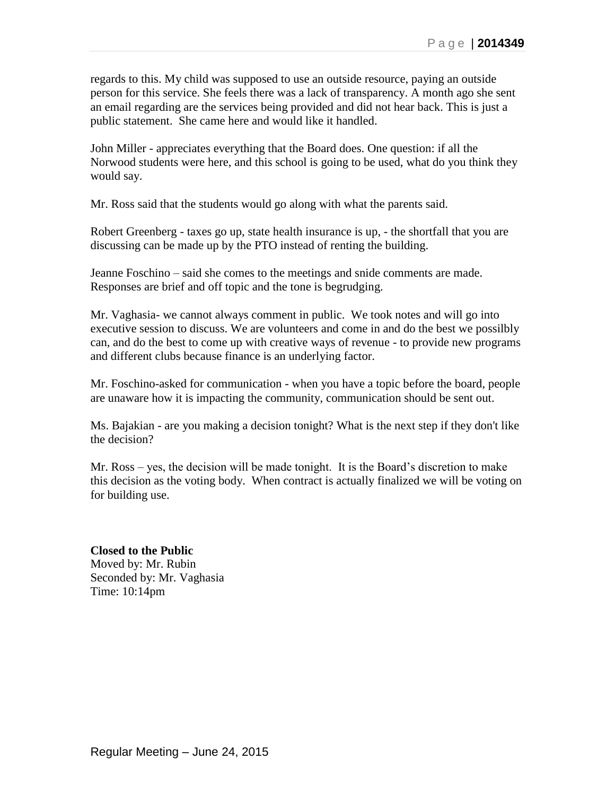regards to this. My child was supposed to use an outside resource, paying an outside person for this service. She feels there was a lack of transparency. A month ago she sent an email regarding are the services being provided and did not hear back. This is just a public statement. She came here and would like it handled.

John Miller - appreciates everything that the Board does. One question: if all the Norwood students were here, and this school is going to be used, what do you think they would say.

Mr. Ross said that the students would go along with what the parents said.

Robert Greenberg - taxes go up, state health insurance is up, - the shortfall that you are discussing can be made up by the PTO instead of renting the building.

Jeanne Foschino – said she comes to the meetings and snide comments are made. Responses are brief and off topic and the tone is begrudging.

Mr. Vaghasia- we cannot always comment in public. We took notes and will go into executive session to discuss. We are volunteers and come in and do the best we possilbly can, and do the best to come up with creative ways of revenue - to provide new programs and different clubs because finance is an underlying factor.

Mr. Foschino-asked for communication - when you have a topic before the board, people are unaware how it is impacting the community, communication should be sent out.

Ms. Bajakian - are you making a decision tonight? What is the next step if they don't like the decision?

Mr. Ross – yes, the decision will be made tonight. It is the Board's discretion to make this decision as the voting body. When contract is actually finalized we will be voting on for building use.

**Closed to the Public** Moved by: Mr. Rubin Seconded by: Mr. Vaghasia Time: 10:14pm